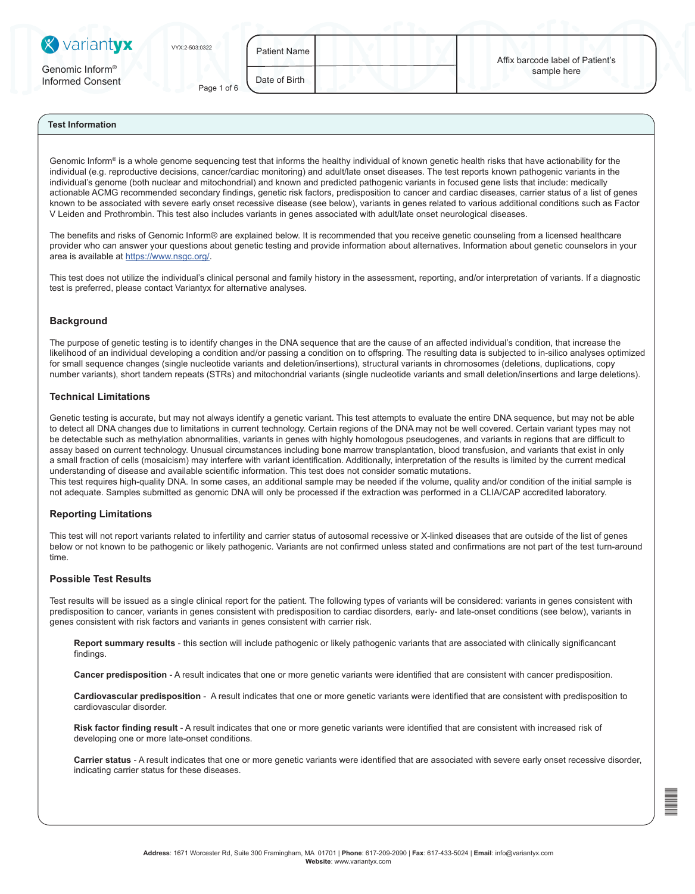| <b>X</b> variantyx                              | VYX:2-503:0322 | Patient Name I | Affix barcode label of Patient's |  |
|-------------------------------------------------|----------------|----------------|----------------------------------|--|
| Genomic Inform <sup>®</sup><br>Informed Consent | Page 1 of 6    | Date of Birth  | sample here                      |  |

Genomic Inform<sup>®</sup> is a whole genome sequencing test that informs the healthy individual of known genetic health risks that have actionability for the individual (e.g. reproductive decisions, cancer/cardiac monitoring) and adult/late onset diseases. The test reports known pathogenic variants in the individual's genome (both nuclear and mitochondrial) and known and predicted pathogenic variants in focused gene lists that include: medically actionable ACMG recommended secondary findings, genetic risk factors, predisposition to cancer and cardiac diseases, carrier status of a list of genes known to be associated with severe early onset recessive disease (see below), variants in genes related to various additional conditions such as Factor V Leiden and Prothrombin. This test also includes variants in genes associated with adult/late onset neurological diseases.

The benefits and risks of Genomic Inform® are explained below. It is recommended that you receive genetic counseling from a licensed healthcare provider who can answer your questions about genetic testing and provide information about alternatives. Information about genetic counselors in your area is available at https://www.nsgc.org/.

This test does not utilize the individual's clinical personal and family history in the assessment, reporting, and/or interpretation of variants. If a diagnostic test is preferred, please contact Variantyx for alternative analyses.

### **Background**

The purpose of genetic testing is to identify changes in the DNA sequence that are the cause of an affected individual's condition, that increase the likelihood of an individual developing a condition and/or passing a condition on to offspring. The resulting data is subjected to in-silico analyses optimized for small sequence changes (single nucleotide variants and deletion/insertions), structural variants in chromosomes (deletions, duplications, copy number variants), short tandem repeats (STRs) and mitochondrial variants (single nucleotide variants and small deletion/insertions and large deletions).

#### **Technical Limitations**

Genetic testing is accurate, but may not always identify a genetic variant. This test attempts to evaluate the entire DNA sequence, but may not be able to detect all DNA changes due to limitations in current technology. Certain regions of the DNA may not be well covered. Certain variant types may not be detectable such as methylation abnormalities, variants in genes with highly homologous pseudogenes, and variants in regions that are difficult to assay based on current technology. Unusual circumstances including bone marrow transplantation, blood transfusion, and variants that exist in only a small fraction of cells (mosaicism) may interfere with variant identification. Additionally, interpretation of the results is limited by the current medical understanding of disease and available scientific information. This test does not consider somatic mutations. This test requires high-quality DNA. In some cases, an additional sample may be needed if the volume, quality and/or condition of the initial sample is

not adequate. Samples submitted as genomic DNA will only be processed if the extraction was performed in a CLIA/CAP accredited laboratory.

#### **Reporting Limitations**

This test will not report variants related to infertility and carrier status of autosomal recessive or X-linked diseases that are outside of the list of genes below or not known to be pathogenic or likely pathogenic. Variants are not confirmed unless stated and confirmations are not part of the test turn-around time.

# **Possible Test Results**

Test results will be issued as a single clinical report for the patient. The following types of variants will be considered: variants in genes consistent with predisposition to cancer, variants in genes consistent with predisposition to cardiac disorders, early- and late-onset conditions (see below), variants in genes consistent with risk factors and variants in genes consistent with carrier risk.

**Report summary results** - this section will include pathogenic or likely pathogenic variants that are associated with clinically significancant findings.

**Cancer predisposition** - A result indicates that one or more genetic variants were identified that are consistent with cancer predisposition.

**Cardiovascular predisposition** - A result indicates that one or more genetic variants were identified that are consistent with predisposition to cardiovascular disorder.

Risk factor finding result - A result indicates that one or more genetic variants were identified that are consistent with increased risk of developing one or more late-onset conditions.

**Carrier status** - A result indicates that one or more genetic variants were identified that are associated with severe early onset recessive disorder, indicating carrier status for these diseases.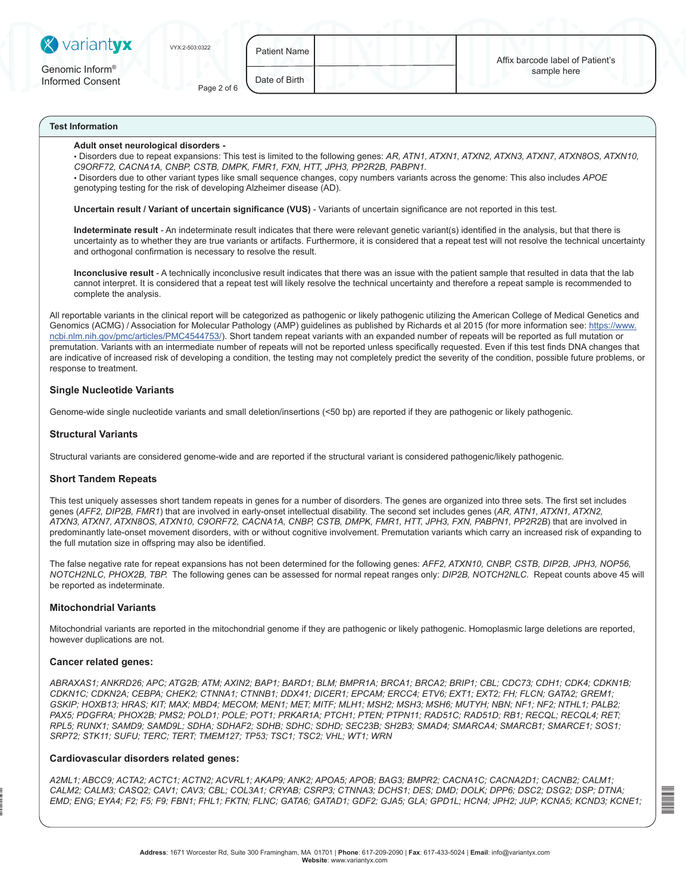| <b>X</b> variantyx                              | VYX:2-503:0322 | Patient Name  |                                       |
|-------------------------------------------------|----------------|---------------|---------------------------------------|
| Genomic Inform <sup>®</sup><br>Informad Concont |                | Date of Rirth | Affix barcode label of<br>sample here |

#### **Adult onset neurological disorders -**

Informed Consent Page 2 of 6

• Disorders due to repeat expansions: This test is limited to the following genes: *AR, ATN1, ATXN1, ATXN2, ATXN3, ATXN7, ATXN8OS, ATXN10, C9ORF72, CACNA1A, CNBP, CSTB, DMPK, FMR1, FXN, HTT, JPH3, PP2R2B, PABPN1.*

• Disorders due to other variant types like small sequence changes, copy numbers variants across the genome: This also includes *APOE* genotyping testing for the risk of developing Alzheimer disease (AD).

**Uncertain result / Variant of uncertain significance (VUS)** - Variants of uncertain significance are not reported in this test.

**Indeterminate result** - An indeterminate result indicates that there were relevant genetic variant(s) identified in the analysis, but that there is uncertainty as to whether they are true variants or artifacts. Furthermore, it is considered that a repeat test will not resolve the technical uncertainty and orthogonal confirmation is necessary to resolve the result.

**Inconclusive result** - A technically inconclusive result indicates that there was an issue with the patient sample that resulted in data that the lab cannot interpret. It is considered that a repeat test will likely resolve the technical uncertainty and therefore a repeat sample is recommended to complete the analysis.

All reportable variants in the clinical report will be categorized as pathogenic or likely pathogenic utilizing the American College of Medical Genetics and Genomics (ACMG) / Association for Molecular Pathology (AMP) guidelines as published by Richards et al 2015 (for more information see: https://www. ncbi.nlm.nih.gov/pmc/articles/PMC4544753/). Short tandem repeat variants with an expanded number of repeats will be reported as full mutation or premutation. Variants with an intermediate number of repeats will not be reported unless specifically requested. Even if this test finds DNA changes that are indicative of increased risk of developing a condition, the testing may not completely predict the severity of the condition, possible future problems, or response to treatment.

## **Single Nucleotide Variants**

Genome-wide single nucleotide variants and small deletion/insertions (<50 bp) are reported if they are pathogenic or likely pathogenic.

### **Structural Variants**

Structural variants are considered genome-wide and are reported if the structural variant is considered pathogenic/likely pathogenic.

### **Short Tandem Repeats**

This test uniquely assesses short tandem repeats in genes for a number of disorders. The genes are organized into three sets. The first set includes genes (*AFF2, DIP2B, FMR1*) that are involved in early-onset intellectual disability. The second set includes genes (*AR, ATN1, ATXN1, ATXN2, ATXN3, ATXN7, ATXN8OS, ATXN10, C9ORF72, CACNA1A, CNBP, CSTB, DMPK, FMR1, HTT, JPH3, FXN, PABPN1, PP2R2B*) that are involved in predominantly late-onset movement disorders, with or without cognitive involvement. Premutation variants which carry an increased risk of expanding to the full mutation size in offspring may also be identified.

The false negative rate for repeat expansions has not been determined for the following genes: *AFF2, ATXN10, CNBP, CSTB, DIP2B, JPH3, NOP56, NOTCH2NLC, PHOX2B, TBP.* The following genes can be assessed for normal repeat ranges only: *DIP2B, NOTCH2NLC*. Repeat counts above 45 will be reported as indeterminate.

#### **Mitochondrial Variants**

Mitochondrial variants are reported in the mitochondrial genome if they are pathogenic or likely pathogenic. Homoplasmic large deletions are reported, however duplications are not.

#### **Cancer related genes:**

vyx25030322

*ABRAXAS1; ANKRD26; APC; ATG2B; ATM; AXIN2; BAP1; BARD1; BLM; BMPR1A; BRCA1; BRCA2; BRIP1; CBL; CDC73; CDH1; CDK4; CDKN1B; CDKN1C; CDKN2A; CEBPA; CHEK2; CTNNA1; CTNNB1; DDX41; DICER1; EPCAM; ERCC4; ETV6; EXT1; EXT2; FH; FLCN; GATA2; GREM1; GSKIP; HOXB13; HRAS; KIT; MAX; MBD4; MECOM; MEN1; MET; MITF; MLH1; MSH2; MSH3; MSH6; MUTYH; NBN; NF1; NF2; NTHL1; PALB2; PAX5; PDGFRA; PHOX2B; PMS2; POLD1; POLE; POT1; PRKAR1A; PTCH1; PTEN; PTPN11; RAD51C; RAD51D; RB1; RECQL; RECQL4; RET; RPL5; RUNX1; SAMD9; SAMD9L; SDHA; SDHAF2; SDHB; SDHC; SDHD; SEC23B; SH2B3; SMAD4; SMARCA4; SMARCB1; SMARCE1; SOS1; SRP72; STK11; SUFU; TERC; TERT; TMEM127; TP53; TSC1; TSC2; VHL; WT1; WRN*

#### **Cardiovascular disorders related genes:**

*A2ML1; ABCC9; ACTA2; ACTC1; ACTN2; ACVRL1; AKAP9; ANK2; APOA5; APOB; BAG3; BMPR2; CACNA1C; CACNA2D1; CACNB2; CALM1; CALM2; CALM3; CASQ2; CAV1; CAV3; CBL; COL3A1; CRYAB; CSRP3; CTNNA3; DCHS1; DES; DMD; DOLK; DPP6; DSC2; DSG2; DSP; DTNA; EMD; ENG; EYA4; F2; F5; F9; FBN1; FHL1; FKTN; FLNC; GATA6; GATAD1; GDF2; GJA5; GLA; GPD1L; HCN4; JPH2; JUP; KCNA5; KCND3; KCNE1;*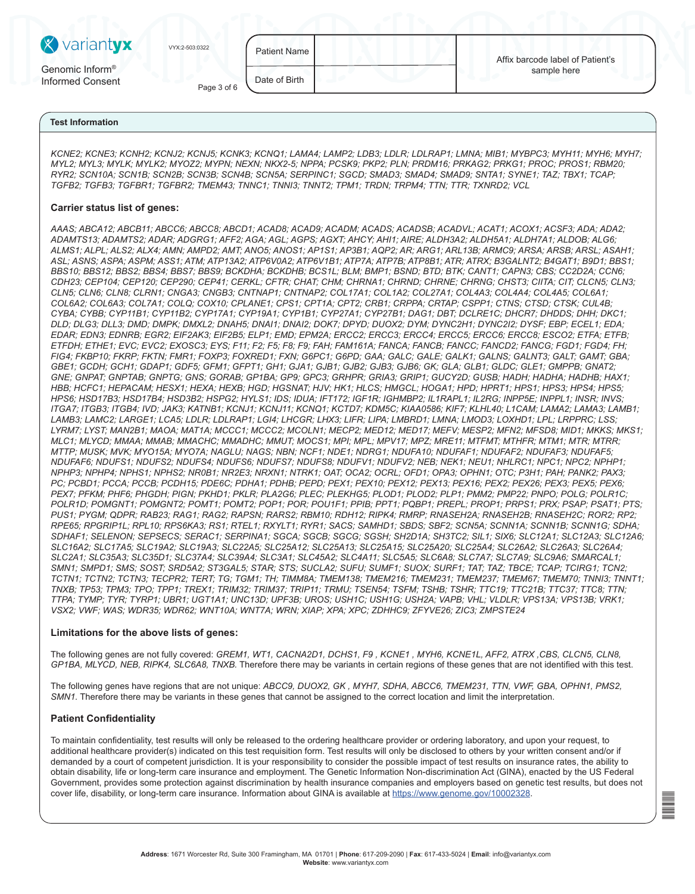| <b>X</b> variantyx                              | VYX:2-503:0322 | <b>Patient Name</b> |                                                 |  |
|-------------------------------------------------|----------------|---------------------|-------------------------------------------------|--|
| Genomic Inform <sup>®</sup><br>Informed Consent | Page 3 of 6    | Date of Birth       | Affix barcode label of Patient's<br>sample here |  |

*KCNE2; KCNE3; KCNH2; KCNJ2; KCNJ5; KCNK3; KCNQ1; LAMA4; LAMP2; LDB3; LDLR; LDLRAP1; LMNA; MIB1; MYBPC3; MYH11; MYH6; MYH7; MYL2; MYL3; MYLK; MYLK2; MYOZ2; MYPN; NEXN; NKX2-5; NPPA; PCSK9; PKP2; PLN; PRDM16; PRKAG2; PRKG1; PROC; PROS1; RBM20; RYR2; SCN10A; SCN1B; SCN2B; SCN3B; SCN4B; SCN5A; SERPINC1; SGCD; SMAD3; SMAD4; SMAD9; SNTA1; SYNE1; TAZ; TBX1; TCAP; TGFB2; TGFB3; TGFBR1; TGFBR2; TMEM43; TNNC1; TNNI3; TNNT2; TPM1; TRDN; TRPM4; TTN; TTR; TXNRD2; VCL* 

## **Carrier status list of genes:**

*AAAS; ABCA12; ABCB11; ABCC6; ABCC8; ABCD1; ACAD8; ACAD9; ACADM; ACADS; ACADSB; ACADVL; ACAT1; ACOX1; ACSF3; ADA; ADA2; ADAMTS13; ADAMTS2; ADAR; ADGRG1; AFF2; AGA; AGL; AGPS; AGXT; AHCY; AHI1; AIRE; ALDH3A2; ALDH5A1; ALDH7A1; ALDOB; ALG6; ALMS1; ALPL; ALS2; ALX4; AMN; AMPD2; AMT; ANO5; ANOS1; AP1S1; AP3B1; AQP2; AR; ARG1; ARL13B; ARMC9; ARSA; ARSB; ARSL; ASAH1; ASL; ASNS; ASPA; ASPM; ASS1; ATM; ATP13A2; ATP6V0A2; ATP6V1B1; ATP7A; ATP7B; ATP8B1; ATR; ATRX; B3GALNT2; B4GAT1; B9D1; BBS1; BBS10; BBS12; BBS2; BBS4; BBS7; BBS9; BCKDHA; BCKDHB; BCS1L; BLM; BMP1; BSND; BTD; BTK; CANT1; CAPN3; CBS; CC2D2A; CCN6; CDH23; CEP104; CEP120; CEP290; CEP41; CERKL; CFTR; CHAT; CHM; CHRNA1; CHRND; CHRNE; CHRNG; CHST3; CIITA; CIT; CLCN5; CLN3; CLN5; CLN6; CLN8; CLRN1; CNGA3; CNGB3; CNTNAP1; CNTNAP2; COL17A1; COL1A2; COL27A1; COL4A3; COL4A4; COL4A5; COL6A1; COL6A2; COL6A3; COL7A1; COLQ; COX10; CPLANE1; CPS1; CPT1A; CPT2; CRB1; CRPPA; CRTAP; CSPP1; CTNS; CTSD; CTSK; CUL4B; CYBA; CYBB; CYP11B1; CYP11B2; CYP17A1; CYP19A1; CYP1B1; CYP27A1; CYP27B1; DAG1; DBT; DCLRE1C; DHCR7; DHDDS; DHH; DKC1; DLD; DLG3; DLL3; DMD; DMPK; DMXL2; DNAH5; DNAI1; DNAI2; DOK7; DPYD; DUOX2; DYM; DYNC2H1; DYNC2I2; DYSF; EBP; ECEL1; EDA; EDAR; EDN3; EDNRB; EGR2; EIF2AK3; EIF2B5; ELP1; EMD; EPM2A; ERCC2; ERCC3; ERCC4; ERCC5; ERCC6; ERCC8; ESCO2; ETFA; ETFB; ETFDH; ETHE1; EVC; EVC2; EXOSC3; EYS; F11; F2; F5; F8; F9; FAH; FAM161A; FANCA; FANCB; FANCC; FANCD2; FANCG; FGD1; FGD4; FH; FIG4; FKBP10; FKRP; FKTN; FMR1; FOXP3; FOXRED1; FXN; G6PC1; G6PD; GAA; GALC; GALE; GALK1; GALNS; GALNT3; GALT; GAMT; GBA; GBE1; GCDH; GCH1; GDAP1; GDF5; GFM1; GFPT1; GH1; GJA1; GJB1; GJB2; GJB3; GJB6; GK; GLA; GLB1; GLDC; GLE1; GMPPB; GNAT2; GNE; GNPAT; GNPTAB; GNPTG; GNS; GORAB; GP1BA; GP9; GPC3; GRHPR; GRIA3; GRIP1; GUCY2D; GUSB; HADH; HADHA; HADHB; HAX1; HBB; HCFC1; HEPACAM; HESX1; HEXA; HEXB; HGD; HGSNAT; HJV; HK1; HLCS; HMGCL; HOGA1; HPD; HPRT1; HPS1; HPS3; HPS4; HPS5; HPS6; HSD17B3; HSD17B4; HSD3B2; HSPG2; HYLS1; IDS; IDUA; IFT172; IGF1R; IGHMBP2; IL1RAPL1; IL2RG; INPP5E; INPPL1; INSR; INVS; ITGA7; ITGB3; ITGB4; IVD; JAK3; KATNB1; KCNJ1; KCNJ11; KCNQ1; KCTD7; KDM5C; KIAA0586; KIF7; KLHL40; L1CAM; LAMA2; LAMA3; LAMB1; LAMB3; LAMC2; LARGE1; LCA5; LDLR; LDLRAP1; LGI4; LHCGR; LHX3; LIFR; LIPA; LMBRD1; LMNA; LMOD3; LOXHD1; LPL; LRPPRC; LSS; LYRM7; LYST; MAN2B1; MAOA; MAT1A; MCCC1; MCCC2; MCOLN1; MECP2; MED12; MED17; MEFV; MESP2; MFN2; MFSD8; MID1; MKKS; MKS1; MLC1; MLYCD; MMAA; MMAB; MMACHC; MMADHC; MMUT; MOCS1; MPI; MPL; MPV17; MPZ; MRE11; MTFMT; MTHFR; MTM1; MTR; MTRR; MTTP; MUSK; MVK; MYO15A; MYO7A; NAGLU; NAGS; NBN; NCF1; NDE1; NDRG1; NDUFA10; NDUFAF1; NDUFAF2; NDUFAF3; NDUFAF5; NDUFAF6; NDUFS1; NDUFS2; NDUFS4; NDUFS6; NDUFS7; NDUFS8; NDUFV1; NDUFV2; NEB; NEK1; NEU1; NHLRC1; NPC1; NPC2; NPHP1; NPHP3; NPHP4; NPHS1; NPHS2; NR0B1; NR2E3; NRXN1; NTRK1; OAT; OCA2; OCRL; OFD1; OPA3; OPHN1; OTC; P3H1; PAH; PANK2; PAX3; PC; PCBD1; PCCA; PCCB; PCDH15; PDE6C; PDHA1; PDHB; PEPD; PEX1; PEX10; PEX12; PEX13; PEX16; PEX2; PEX26; PEX3; PEX5; PEX6; PEX7; PFKM; PHF6; PHGDH; PIGN; PKHD1; PKLR; PLA2G6; PLEC; PLEKHG5; PLOD1; PLOD2; PLP1; PMM2; PMP22; PNPO; POLG; POLR1C; POLR1D; POMGNT1; POMGNT2; POMT1; POMT2; POP1; POR; POU1F1; PPIB; PPT1; PQBP1; PREPL; PROP1; PRPS1; PRX; PSAP; PSAT1; PTS; PUS1; PYGM; QDPR; RAB23; RAG1; RAG2; RAPSN; RARS2; RBM10; RDH12; RIPK4; RMRP; RNASEH2A; RNASEH2B; RNASEH2C; ROR2; RP2; RPE65; RPGRIP1L; RPL10; RPS6KA3; RS1; RTEL1; RXYLT1; RYR1; SACS; SAMHD1; SBDS; SBF2; SCN5A; SCNN1A; SCNN1B; SCNN1G; SDHA; SDHAF1; SELENON; SEPSECS; SERAC1; SERPINA1; SGCA; SGCB; SGCG; SGSH; SH2D1A; SH3TC2; SIL1; SIX6; SLC12A1; SLC12A3; SLC12A6; SLC16A2; SLC17A5; SLC19A2; SLC19A3; SLC22A5; SLC25A12; SLC25A13; SLC25A15; SLC25A20; SLC25A4; SLC26A2; SLC26A3; SLC26A4; SLC2A1; SLC35A3; SLC35D1; SLC37A4; SLC39A4; SLC3A1; SLC45A2; SLC4A11; SLC5A5; SLC6A8; SLC7A7; SLC7A9; SLC9A6; SMARCAL1; SMN1; SMPD1; SMS; SOST; SRD5A2; ST3GAL5; STAR; STS; SUCLA2; SUFU; SUMF1; SUOX; SURF1; TAT; TAZ; TBCE; TCAP; TCIRG1; TCN2; TCTN1; TCTN2; TCTN3; TECPR2; TERT; TG; TGM1; TH; TIMM8A; TMEM138; TMEM216; TMEM231; TMEM237; TMEM67; TMEM70; TNNI3; TNNT1; TNXB; TP53; TPM3; TPO; TPP1; TREX1; TRIM32; TRIM37; TRIP11; TRMU; TSEN54; TSFM; TSHB; TSHR; TTC19; TTC21B; TTC37; TTC8; TTN; TTPA; TYMP; TYR; TYRP1; UBR1; UGT1A1; UNC13D; UPF3B; UROS; USH1C; USH1G; USH2A; VAPB; VHL; VLDLR; VPS13A; VPS13B; VRK1; VSX2; VWF; WAS; WDR35; WDR62; WNT10A; WNT7A; WRN; XIAP; XPA; XPC; ZDHHC9; ZFYVE26; ZIC3; ZMPSTE24* 

#### **Limitations for the above lists of genes:**

The following genes are not fully covered: *GREM1, WT1, CACNA2D1, DCHS1, F9 , KCNE1 , MYH6, KCNE1L, AFF2, ATRX ,CBS, CLCN5, CLN8, GP1BA, MLYCD, NEB, RIPK4, SLC6A8, TNXB.* Therefore there may be variants in certain regions of these genes that are not identified with this test.

The following genes have regions that are not unique: *ABCC9, DUOX2, GK , MYH7, SDHA, ABCC6, TMEM231, TTN, VWF, GBA, OPHN1, PMS2, SMN1*. Therefore there may be variants in these genes that cannot be assigned to the correct location and limit the interpretation.

## **Patient Confidentiality**

To maintain confidentiality, test results will only be released to the ordering healthcare provider or ordering laboratory, and upon your request, to additional healthcare provider(s) indicated on this test requisition form. Test results will only be disclosed to others by your written consent and/or if demanded by a court of competent jurisdiction. It is your responsibility to consider the possible impact of test results on insurance rates, the ability to obtain disability, life or long-term care insurance and employment. The Genetic Information Non-discrimination Act (GINA), enacted by the US Federal Government, provides some protection against discrimination by health insurance companies and employers based on genetic test results, but does not cover life, disability, or long-term care insurance. Information about GINA is available at https://www.genome.gov/10002328.

vyx25030322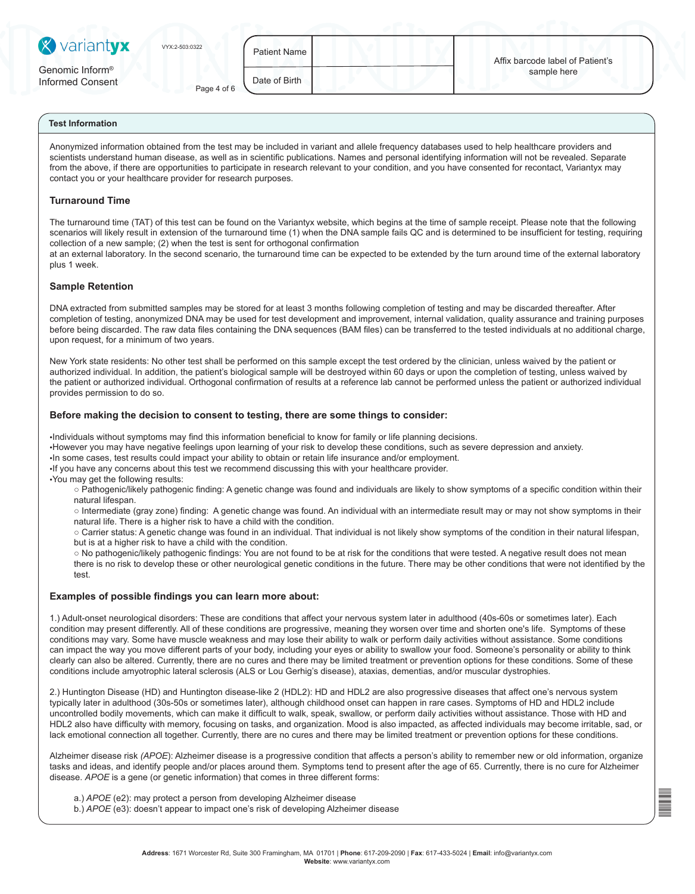| <b>X</b> variantyx                              | VYX:2-503:0322 | <b>Patient Name</b> | Affix barcode label of Patient's |
|-------------------------------------------------|----------------|---------------------|----------------------------------|
| Genomic Inform <sup>®</sup><br>Informed Consent | Page 4 of 6    | Date of Birth       | sample here                      |

Anonymized information obtained from the test may be included in variant and allele frequency databases used to help healthcare providers and scientists understand human disease, as well as in scientific publications. Names and personal identifying information will not be revealed. Separate from the above, if there are opportunities to participate in research relevant to your condition, and you have consented for recontact, Variantyx may contact you or your healthcare provider for research purposes.

# **Turnaround Time**

The turnaround time (TAT) of this test can be found on the Variantyx website, which begins at the time of sample receipt. Please note that the following scenarios will likely result in extension of the turnaround time (1) when the DNA sample fails QC and is determined to be insufficient for testing, requiring collection of a new sample; (2) when the test is sent for orthogonal confirmation

at an external laboratory. In the second scenario, the turnaround time can be expected to be extended by the turn around time of the external laboratory plus 1 week.

## **Sample Retention**

DNA extracted from submitted samples may be stored for at least 3 months following completion of testing and may be discarded thereafter. After completion of testing, anonymized DNA may be used for test development and improvement, internal validation, quality assurance and training purposes before being discarded. The raw data files containing the DNA sequences (BAM files) can be transferred to the tested individuals at no additional charge, upon request, for a minimum of two years.

New York state residents: No other test shall be performed on this sample except the test ordered by the clinician, unless waived by the patient or authorized individual. In addition, the patient's biological sample will be destroyed within 60 days or upon the completion of testing, unless waived by the patient or authorized individual. Orthogonal confirmation of results at a reference lab cannot be performed unless the patient or authorized individual provides permission to do so.

## **Before making the decision to consent to testing, there are some things to consider:**

•Individuals without symptoms may find this information beneficial to know for family or life planning decisions.

•However you may have negative feelings upon learning of your risk to develop these conditions, such as severe depression and anxiety.

•In some cases, test results could impact your ability to obtain or retain life insurance and/or employment.

•If you have any concerns about this test we recommend discussing this with your healthcare provider.

•You may get the following results:

○ Pathogenic/likely pathogenic finding: A genetic change was found and individuals are likely to show symptoms of a specific condition within their natural lifespan.

○ Intermediate (gray zone) finding: A genetic change was found. An individual with an intermediate result may or may not show symptoms in their natural life. There is a higher risk to have a child with the condition.

○ Carrier status: A genetic change was found in an individual. That individual is not likely show symptoms of the condition in their natural lifespan, but is at a higher risk to have a child with the condition.

○ No pathogenic/likely pathogenic findings: You are not found to be at risk for the conditions that were tested. A negative result does not mean there is no risk to develop these or other neurological genetic conditions in the future. There may be other conditions that were not identified by the test.

## **Examples of possible findings you can learn more about:**

1.) Adult-onset neurological disorders: These are conditions that affect your nervous system later in adulthood (40s-60s or sometimes later). Each condition may present differently. All of these conditions are progressive, meaning they worsen over time and shorten one's life. Symptoms of these conditions may vary. Some have muscle weakness and may lose their ability to walk or perform daily activities without assistance. Some conditions can impact the way you move different parts of your body, including your eyes or ability to swallow your food. Someone's personality or ability to think clearly can also be altered. Currently, there are no cures and there may be limited treatment or prevention options for these conditions. Some of these conditions include amyotrophic lateral sclerosis (ALS or Lou Gerhig's disease), ataxias, dementias, and/or muscular dystrophies.

2.) Huntington Disease (HD) and Huntington disease-like 2 (HDL2): HD and HDL2 are also progressive diseases that affect one's nervous system typically later in adulthood (30s-50s or sometimes later), although childhood onset can happen in rare cases. Symptoms of HD and HDL2 include uncontrolled bodily movements, which can make it difficult to walk, speak, swallow, or perform daily activities without assistance. Those with HD and HDL2 also have difficulty with memory, focusing on tasks, and organization. Mood is also impacted, as affected individuals may become irritable, sad, or lack emotional connection all together. Currently, there are no cures and there may be limited treatment or prevention options for these conditions.

Alzheimer disease risk *(APOE*): Alzheimer disease is a progressive condition that affects a person's ability to remember new or old information, organize tasks and ideas, and identify people and/or places around them. Symptoms tend to present after the age of 65. Currently, there is no cure for Alzheimer disease. *APOE* is a gene (or genetic information) that comes in three different forms:

a.) *APOE* (e2): may protect a person from developing Alzheimer disease

b.) *APOE* (e3): doesn't appear to impact one's risk of developing Alzheimer disease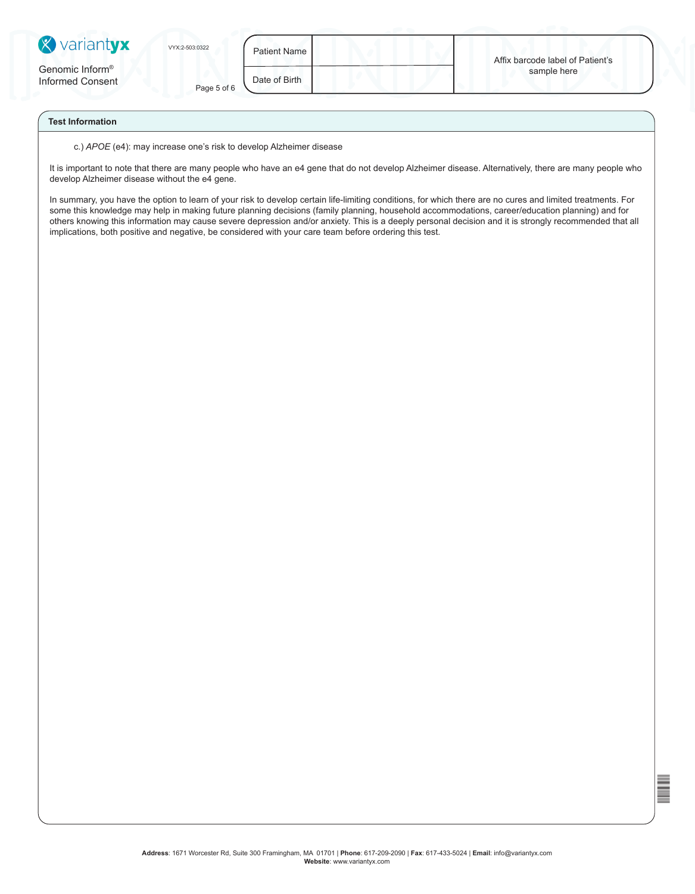| <b>X</b> variantyx                              | VYX:2-503:0322 | <b>Patient Name</b> | Affix barcode label of Patient's |
|-------------------------------------------------|----------------|---------------------|----------------------------------|
| Genomic Inform <sup>®</sup><br>Informed Consent | Page 5 of 6    | Date of Birth       | sample here                      |

c.) *APOE* (e4): may increase one's risk to develop Alzheimer disease

It is important to note that there are many people who have an e4 gene that do not develop Alzheimer disease. Alternatively, there are many people who develop Alzheimer disease without the e4 gene.

In summary, you have the option to learn of your risk to develop certain life-limiting conditions, for which there are no cures and limited treatments. For some this knowledge may help in making future planning decisions (family planning, household accommodations, career/education planning) and for others knowing this information may cause severe depression and/or anxiety. This is a deeply personal decision and it is strongly recommended that all implications, both positive and negative, be considered with your care team before ordering this test.